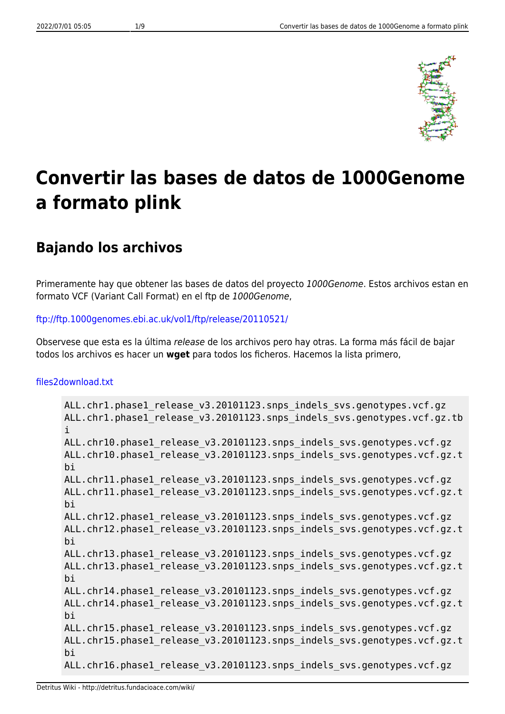

# **Convertir las bases de datos de 1000Genome a formato plink**

## **Bajando los archivos**

Primeramente hay que obtener las bases de datos del proyecto 1000Genome. Estos archivos estan en formato VCF (Variant Call Format) en el ftp de 1000Genome,

#### <ftp://ftp.1000genomes.ebi.ac.uk/vol1/ftp/release/20110521/>

Observese que esta es la última release de los archivos pero hay otras. La forma más fácil de bajar todos los archivos es hacer un **wget** para todos los ficheros. Hacemos la lista primero,

#### [files2download.txt](http://detritus.fundacioace.com/wiki/doku.php?do=export_code&id=genetica:pre_1kg&codeblock=0)

```
ALL.chr1.phase1_release_v3.20101123.snps_indels_svs.genotypes.vcf.gz
ALL.chr1.phase1 release v3.20101123.snps indels svs.genotypes.vcf.gz.tb
i
ALL.chr10.phase1 release v3.20101123.snps indels svs.genotypes.vcf.gz
ALL.chr10.phase1 release v3.20101123.snps indels svs.genotypes.vcf.gz.t
bi
ALL.chr11.phase1 release v3.20101123.snps indels svs.genotypes.vcf.gz
ALL.chr11.phase1 release v3.20101123.snps indels svs.genotypes.vcf.gz.t
bi
ALL.chr12.phase1 release v3.20101123.snps indels svs.genotypes.vcf.gz
ALL.chr12.phase1 release v3.20101123.snps indels svs.genotypes.vcf.gz.t
bi
ALL.chr13.phase1 release v3.20101123.snps indels svs.genotypes.vcf.gz
ALL.chr13.phase1 release v3.20101123.snps indels svs.genotypes.vcf.gz.t
bi
ALL.chr14.phase1 release v3.20101123.snps indels svs.genotypes.vcf.gz
ALL.chr14.phase1 release v3.20101123.snps indels svs.genotypes.vcf.gz.t
bi
ALL.chr15.phase1 release v3.20101123.snps indels svs.genotypes.vcf.gz
ALL.chr15.phase1 release v3.20101123.snps indels svs.genotypes.vcf.gz.t
bi
ALL.chr16.phase1 release v3.20101123.snps indels svs.genotypes.vcf.gz
```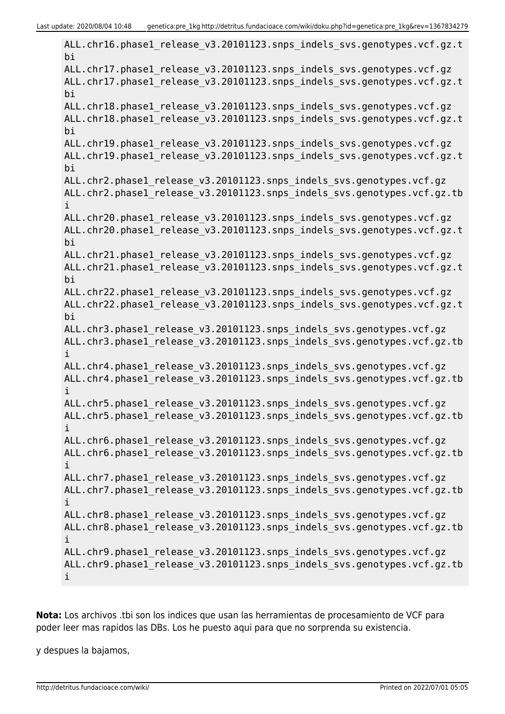ALL.chr16.phase1 release v3.20101123.snps indels svs.genotypes.vcf.gz.t bi ALL.chr17.phase1 release v3.20101123.snps indels svs.genotypes.vcf.gz ALL.chr17.phase1 release v3.20101123.snps indels svs.genotypes.vcf.gz.t bi ALL.chr18.phase1 release v3.20101123.snps indels svs.genotypes.vcf.gz ALL.chr18.phase1\_release\_v3.20101123.snps\_indels\_svs.genotypes.vcf.gz.t bi ALL.chr19.phase1 release v3.20101123.snps indels svs.genotypes.vcf.gz ALL.chr19.phase1 release v3.20101123.snps indels svs.genotypes.vcf.gz.t bi ALL.chr2.phase1\_release\_v3.20101123.snps\_indels\_svs.genotypes.vcf.gz ALL.chr2.phase1 release v3.20101123.snps indels svs.genotypes.vcf.gz.tb i ALL.chr20.phase1 release v3.20101123.snps indels svs.genotypes.vcf.gz ALL.chr20.phase1 release v3.20101123.snps indels svs.genotypes.vcf.gz.t bi ALL.chr21.phase1 release v3.20101123.snps indels svs.genotypes.vcf.gz ALL.chr21.phase1 release v3.20101123.snps indels svs.genotypes.vcf.gz.t bi ALL.chr22.phase1 release v3.20101123.snps indels svs.genotypes.vcf.gz ALL.chr22.phase1 release v3.20101123.snps indels svs.genotypes.vcf.gz.t bi ALL.chr3.phase1 release v3.20101123.snps indels svs.genotypes.vcf.gz ALL.chr3.phase1\_release\_v3.20101123.snps\_indels\_svs.genotypes.vcf.gz.tb i ALL.chr4.phase1 release v3.20101123.snps indels svs.genotypes.vcf.gz ALL.chr4.phase1 release v3.20101123.snps indels svs.genotypes.vcf.gz.tb i ALL.chr5.phase1 release v3.20101123.snps indels svs.genotypes.vcf.gz ALL.chr5.phase1 release v3.20101123.snps indels svs.genotypes.vcf.gz.tb i ALL.chr6.phase1 release v3.20101123.snps indels svs.genotypes.vcf.gz ALL.chr6.phase1 release v3.20101123.snps indels svs.genotypes.vcf.gz.tb i ALL.chr7.phase1 release v3.20101123.snps indels svs.genotypes.vcf.gz ALL.chr7.phase1 release v3.20101123.snps indels svs.genotypes.vcf.gz.tb i ALL.chr8.phase1\_release\_v3.20101123.snps\_indels\_svs.genotypes.vcf.gz ALL.chr8.phase1\_release\_v3.20101123.snps\_indels\_svs.genotypes.vcf.gz.tb i ALL.chr9.phase1 release v3.20101123.snps indels svs.genotypes.vcf.gz ALL.chr9.phase1 release v3.20101123.snps indels svs.genotypes.vcf.gz.tb i

**Nota:** Los archivos .tbi son los indices que usan las herramientas de procesamiento de VCF para poder leer mas rapidos las DBs. Los he puesto aqui para que no sorprenda su existencia.

y despues la bajamos,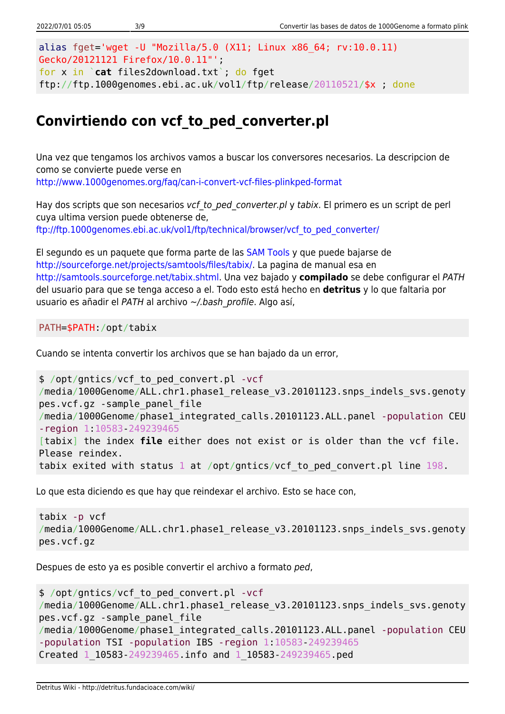```
alias fget='wget -U "Mozilla/5.0 (X11; Linux x86_64; rv:10.0.11)
Gecko/20121121 Firefox/10.0.11"';
for x in `cat files2download.txt`; do fget
ftp://ftp.1000genomes.ebi.ac.uk/vol1/ftp/release/20110521/$x ; done
```
## **Convirtiendo con vcf\_to\_ped\_converter.pl**

Una vez que tengamos los archivos vamos a buscar los conversores necesarios. La descripcion de como se convierte puede verse en <http://www.1000genomes.org/faq/can-i-convert-vcf-files-plinkped-format>

Hay dos scripts que son necesarios vcf to ped converter.pl y tabix. El primero es un script de perl cuya ultima version puede obtenerse de, [ftp://ftp.1000genomes.ebi.ac.uk/vol1/ftp/technical/browser/vcf\\_to\\_ped\\_converter/](ftp://ftp.1000genomes.ebi.ac.uk/vol1/ftp/technical/browser/vcf_to_ped_converter/)

El segundo es un paquete que forma parte de las [SAM Tools](http://samtools.sourceforge.net/) y que puede bajarse de [http://sourceforge.net/projects/samtools/files/tabix/.](http://sourceforge.net/projects/samtools/files/tabix/) La pagina de manual esa en <http://samtools.sourceforge.net/tabix.shtml>. Una vez bajado y **compilado** se debe configurar el PATH del usuario para que se tenga acceso a el. Todo esto está hecho en **detritus** y lo que faltaria por usuario es añadir el PATH al archivo ~/.bash profile. Algo así,

PATH=\$PATH:/opt/tabix

Cuando se intenta convertir los archivos que se han bajado da un error,

```
$ /opt/gntics/vcf_to_ped_convert.pl -vcf
/media/1000Genome/ALL.chr1.phase1 release v3.20101123.snps indels svs.genoty
pes.vcf.gz -sample_panel_file
/media/1000Genome/phase1_integrated_calls.20101123.ALL.panel -population CEU
-region 1:10583-249239465
[tabix] the index file either does not exist or is older than the vcf file.
Please reindex.
tabix exited with status 1 at /opt/gntics/vcf_to_ped_convert.pl line 198.
```
Lo que esta diciendo es que hay que reindexar el archivo. Esto se hace con,

```
tabix -p vcf
/media/1000Genome/ALL.chr1.phase1 release v3.20101123.snps indels svs.genoty
pes.vcf.gz
```
Despues de esto ya es posible convertir el archivo a formato ped,

```
$ /opt/gntics/vcf_to_ped_convert.pl -vcf
/media/1000Genome/ALL.chr1.phase1 release v3.20101123.snps indels svs.genoty
pes.vcf.gz -sample_panel_file
/media/1000Genome/phase1_integrated_calls.20101123.ALL.panel -population CEU
-population TSI -population IBS -region 1:10583-249239465
Created 1_10583-249239465.info and 1_10583-249239465.ped
```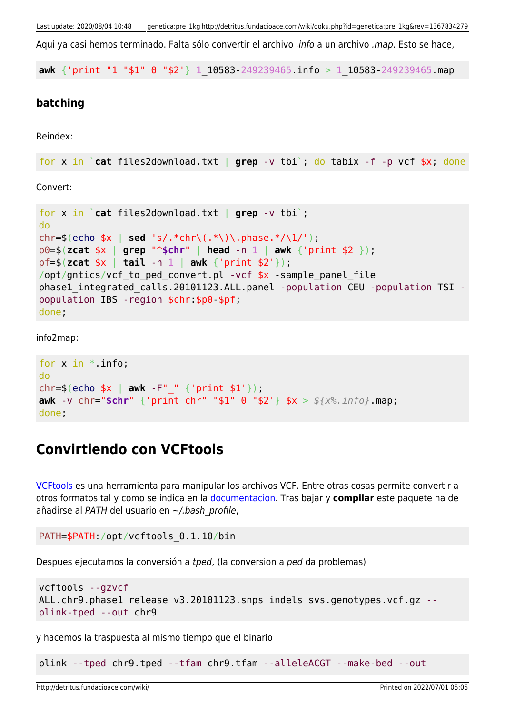Aqui ya casi hemos terminado. Falta sólo convertir el archivo .info a un archivo .map. Esto se hace,

**awk** {'print "1 "\$1" 0 "\$2'} 1\_10583-249239465.info > 1\_10583-249239465.map

#### **batching**

Reindex:

```
for x in `cat files2download.txt | grep -v tbi`; do tabix -f -p vcf $x; done
```
Convert:

```
for x in `cat files2download.txt | grep -v tbi`;
do
chr=$(echo $x | sed 's/.*chr\(.*\)\.phase.*/\1/');
p0=$(zcat $x | grep "^$chr" | head -n 1 | awk {'print $2'});
pf=$(zcat $x | tail -n 1 | awk {'print $2'});
/opt/gntics/vcf to ped convert.pl -vcf *x -sample panel file
phase1_integrated_calls.20101123.ALL.panel -population CEU -population TSI -
population IBS -region $chr:$p0-$pf;
done;
```
info2map:

```
for x in *. info;
do
chr=$(echo $x | awk -F"_" {'print $1'});
awk -v chr="$chr" {'print chr" "$1" 0 "$2'} $x > ${x%.info}.map;
done;
```
### **Convirtiendo con VCFtools**

[VCFtools](http://vcftools.sourceforge.net/index.html) es una herramienta para manipular los archivos VCF. Entre otras cosas permite convertir a otros formatos tal y como se indica en la [documentacion.](http://vcftools.sourceforge.net/options.html) Tras bajar y **compilar** este paquete ha de añadirse al PATH del usuario en ~/.bash\_profile,

```
PATH=$PATH:/opt/vcftools_0.1.10/bin
```
Despues ejecutamos la conversión a tped, (la conversion a ped da problemas)

```
vcftools --gzvcf
ALL.chr9.phase1_release_v3.20101123.snps_indels_svs.genotypes.vcf.gz --
plink-tped --out chr9
```
y hacemos la traspuesta al mismo tiempo que el binario

plink --tped chr9.tped --tfam chr9.tfam --alleleACGT --make-bed --out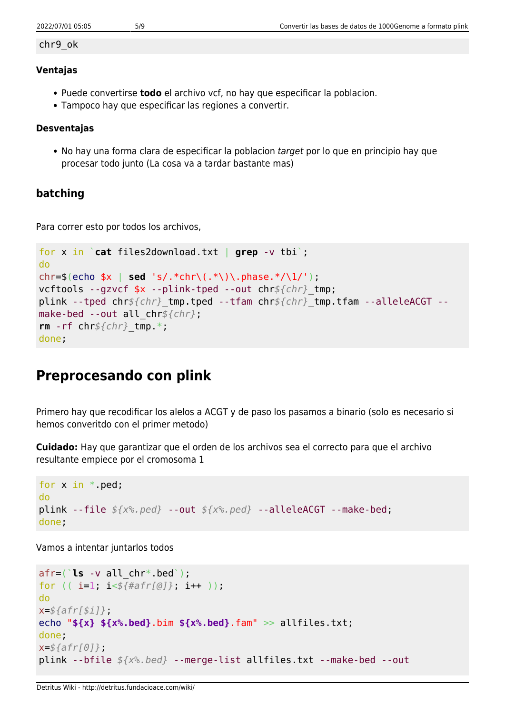#### chr9\_ok

#### **Ventajas**

- Puede convertirse **todo** el archivo vcf, no hay que especificar la poblacion.
- Tampoco hay que especificar las regiones a convertir.

#### **Desventajas**

• No hay una forma clara de especificar la poblacion target por lo que en principio hay que procesar todo junto (La cosa va a tardar bastante mas)

#### **batching**

Para correr esto por todos los archivos,

```
for x in `cat files2download.txt | grep -v tbi`;
do
chr=$(echo $x | sed 's/.*chr\(.*\)\.phase.*/\1/');
vcftools --gzvcf $x --plink-tped --out chr${chr}_tmp;
plink --tped chr${chr}_tmp.tped --tfam chr${chr}_tmp.tfam --alleleACGT --
make-bed --out all_chr${chr};
rm -rf chr${chr}_tmp.*;
done;
```
## **Preprocesando con plink**

Primero hay que recodificar los alelos a ACGT y de paso los pasamos a binario (solo es necesario si hemos converitdo con el primer metodo)

**Cuidado:** Hay que garantizar que el orden de los archivos sea el correcto para que el archivo resultante empiece por el cromosoma 1

```
for x in * ped;
do
plink --file ${x%.ped} --out ${x%.ped} --alleleACGT --make-bed;
done;
```
Vamos a intentar juntarlos todos

```
afr=(`ls -v all_chr*.bed`);
for (( i=1; i<${#afr[@]}; i++ ));
do
x=${afr[$i]};
echo "${x} ${x%.bed}.bim ${x%.bed}.fam" >> allfiles.txt;
done;
x=${afr[0]};
plink --bfile ${x%.bed} --merge-list allfiles.txt --make-bed --out
```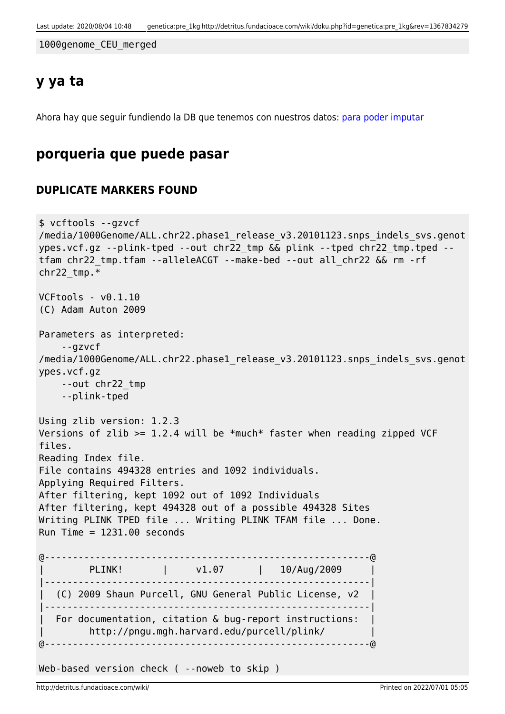1000genome\_CEU\_merged

### **y ya ta**

Ahora hay que seguir fundiendo la DB que tenemos con nuestros datos: [para poder imputar](http://detritus.fundacioace.com/wiki/doku.php?id=genetica:plink_1kg_impute)

### **porqueria que puede pasar**

#### **DUPLICATE MARKERS FOUND**

```
$ vcftools --gzvcf
/media/1000Genome/ALL.chr22.phase1_release_v3.20101123.snps_indels_svs.genot
ypes.vcf.gz --plink-tped --out chr22_tmp && plink --tped chr22_tmp.tped --
tfam chr22_tmp.tfam --alleleACGT --make-bed --out all_chr22 && rm -rf
chr22 tmp.*VCFtools - v0.1.10
(C) Adam Auton 2009
Parameters as interpreted:
     --gzvcf
/media/1000Genome/ALL.chr22.phase1 release v3.20101123.snps_indels_svs.genot
ypes.vcf.gz
     --out chr22_tmp
     --plink-tped
Using zlib version: 1.2.3
Versions of zlib >= 1.2.4 will be *much* faster when reading zipped VCF
files.
Reading Index file.
File contains 494328 entries and 1092 individuals.
Applying Required Filters.
After filtering, kept 1092 out of 1092 Individuals
After filtering, kept 494328 out of a possible 494328 Sites
Writing PLINK TPED file ... Writing PLINK TFAM file ... Done.
Run Time = 1231.00 seconds@----------------------------------------------------------@
        PLINK! | v1.07 | 10/Aug/2009
|----------------------------------------------------------|
   | (C) 2009 Shaun Purcell, GNU General Public License, v2 |
|----------------------------------------------------------|
 For documentation, citation & bug-report instructions:
         | http://pngu.mgh.harvard.edu/purcell/plink/ |
@----------------------------------------------------------@
Web-based version check ( --noweb to skip )
```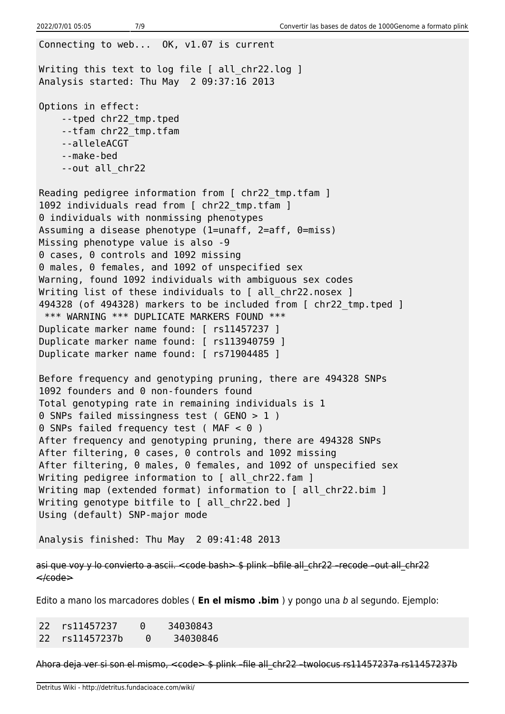Connecting to web... OK, v1.07 is current Writing this text to log file [ all chr22.log ] Analysis started: Thu May 2 09:37:16 2013 Options in effect: --tped chr22\_tmp.tped --tfam chr22\_tmp.tfam --alleleACGT --make-bed --out all\_chr22 Reading pedigree information from [ chr22 tmp.tfam ] 1092 individuals read from [ chr22 tmp.tfam ] 0 individuals with nonmissing phenotypes Assuming a disease phenotype (1=unaff, 2=aff, 0=miss) Missing phenotype value is also -9 0 cases, 0 controls and 1092 missing 0 males, 0 females, and 1092 of unspecified sex Warning, found 1092 individuals with ambiguous sex codes Writing list of these individuals to [ all chr22.nosex ] 494328 (of 494328) markers to be included from [ chr22\_tmp.tped ] \*\*\* WARNING \*\*\* DUPLICATE MARKERS FOUND \*\*\* Duplicate marker name found: [ rs11457237 ] Duplicate marker name found: [ rs113940759 ] Duplicate marker name found: [ rs71904485 ] Before frequency and genotyping pruning, there are 494328 SNPs 1092 founders and 0 non-founders found Total genotyping rate in remaining individuals is 1 0 SNPs failed missingness test ( GENO > 1 ) 0 SNPs failed frequency test (MAF < 0 ) After frequency and genotyping pruning, there are 494328 SNPs After filtering, 0 cases, 0 controls and 1092 missing After filtering, 0 males, 0 females, and 1092 of unspecified sex Writing pedigree information to [ all chr22.fam ] Writing map (extended format) information to [ all chr22.bim ] Writing genotype bitfile to [ all chr22.bed ] Using (default) SNP-major mode Analysis finished: Thu May 2 09:41:48 2013

asi que voy y lo convierto a ascii. <code bash> \$ plink -bfile all chr22 -recode -out all chr22  $\leq$  $\leq$ eode $\geq$ 

Edito a mano los marcadores dobles ( **En el mismo .bim** ) y pongo una b al segundo. Ejemplo:

22 rs11457237 0 34030843 22 rs11457237b 0 34030846

Ahora deja ver si son el mismo, <code> \$ plink -file all chr22 -twolocus rs11457237a rs11457237b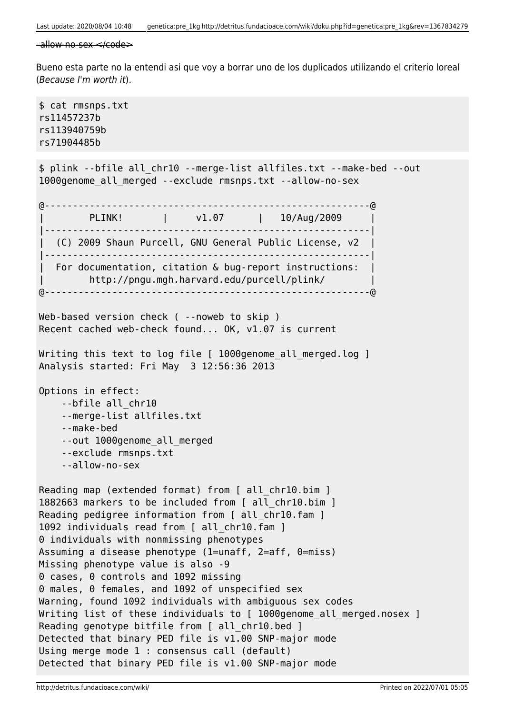```
-\text{allow-no-sex} \leq \text{code>}
```
Bueno esta parte no la entendi asi que voy a borrar uno de los duplicados utilizando el criterio loreal (Because I'm worth it).

\$ cat rmsnps.txt rs11457237b rs113940759b rs71904485b \$ plink --bfile all\_chr10 --merge-list allfiles.txt --make-bed --out 1000genome\_all\_merged --exclude rmsnps.txt --allow-no-sex @----------------------------------------------------------@ PLINK! | v1.07 | 10/Aug/2009 |----------------------------------------------------------| | (C) 2009 Shaun Purcell, GNU General Public License, v2 | |----------------------------------------------------------| For documentation, citation & bug-report instructions: | http://pngu.mgh.harvard.edu/purcell/plink/ | @----------------------------------------------------------@ Web-based version check ( --noweb to skip ) Recent cached web-check found... OK, v1.07 is current Writing this text to log file [ 1000genome all merged.log ] Analysis started: Fri May 3 12:56:36 2013 Options in effect: --bfile all\_chr10 --merge-list allfiles.txt --make-bed --out 1000genome\_all\_merged --exclude rmsnps.txt --allow-no-sex Reading map (extended format) from [ all chr10.bim ] 1882663 markers to be included from [ all\_chr10.bim ] Reading pedigree information from [ all chr10.fam ] 1092 individuals read from [ all\_chr10.fam ] 0 individuals with nonmissing phenotypes Assuming a disease phenotype (1=unaff, 2=aff, 0=miss) Missing phenotype value is also -9 0 cases, 0 controls and 1092 missing 0 males, 0 females, and 1092 of unspecified sex Warning, found 1092 individuals with ambiguous sex codes Writing list of these individuals to [ 1000genome all merged.nosex ] Reading genotype bitfile from [ all chr10.bed ] Detected that binary PED file is v1.00 SNP-major mode Using merge mode 1 : consensus call (default) Detected that binary PED file is v1.00 SNP-major mode